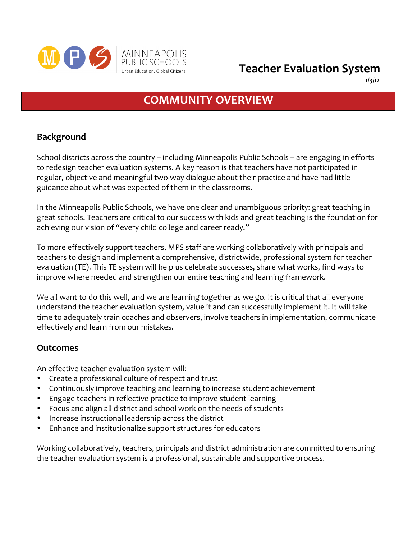

**1/3/12**

# **COMMUNITY
OVERVIEW**

### **Background**

School
districts
across
the
country
–
including
Minneapolis
Public
Schools
–
are
engaging
in
efforts to
redesign
teacher
evaluation
systems.
A
key
reason
is
that
teachers
have
not
participated
in regular, objective and meaningful two-way dialogue about their practice and have had little guidance
about
what
was
expected
of
them
in
the
classrooms.

In the Minneapolis Public Schools, we have one clear and unambiguous priority: great teaching in great schools. Teachers are critical to our success with kids and great teaching is the foundation for achieving our vision of "every child college and career ready."

To more effectively support teachers, MPS staff are working collaboratively with principals and teachers
to
design
and
implement
a
comprehensive,
districtwide,
professional
system
for
teacher evaluation (TE). This TE system will help us celebrate successes, share what works, find ways to improve where needed and strengthen our entire teaching and learning framework.

We all want to do this well, and we are learning together as we go. It is critical that all everyone understand the teacher evaluation system, value it and can successfully implement it. It will take time
to
adequately
train
coaches
and
observers,
involve
teachers
in
implementation,
communicate effectively
and
learn
from
our
mistakes.

### **Outcomes**

An
effective
teacher
evaluation
system
will:

- Create a professional culture of respect and trust
- Continuously
improve
teaching
and
learning
to
increase
student
achievement
- Engage teachers in reflective practice to improve student learning
- Focus and align all district and school work on the needs of students
- Increase instructional leadership across the district
- Enhance and institutionalize support structures for educators

Working collaboratively, teachers, principals and district administration are committed to ensuring the
teacher
evaluation
system
is
a
professional,
sustainable
and
supportive
process.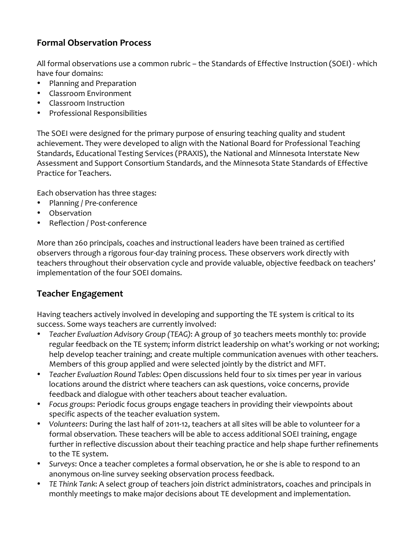## **Formal
Observation
Process**

All formal observations use a common rubric - the Standards of Effective Instruction (SOEI) - which have
four
domains:

- Planning and Preparation
- Classroom
Environment
- Classroom
Instruction
- Professional
Responsibilities

The
SOEI
were
designed
for
the
primary
purpose
of
ensuring
teaching
quality
and
student achievement. They were developed to align with the National Board for Professional Teaching Standards, Educational Testing Services (PRAXIS), the National and Minnesota Interstate New Assessment
and
Support
Consortium
Standards,
and
the
Minnesota
State
Standards
of
Effective Practice
for
Teachers.

Each
observation
has
three
stages:

- Planning / Pre-conference
- Observation
- Reflection / Post-conference

More
than
260
principals,
coaches
and
instructional
leaders
have
been
trained
as
certified observers through a rigorous four-day training process. These observers work directly with teachers throughout their observation cycle and provide valuable, objective feedback on teachers' implementation
of
the
four
SOEI
domains.

### **Teacher
Engagement**

Having teachers actively involved in developing and supporting the TE system is critical to its success.
Some
ways
teachers
are
currently
involved:

- Teacher Evaluation Advisory Group (TEAG): A group of 30 teachers meets monthly to: provide regular feedback on the TE system; inform district leadership on what's working or not working; help develop teacher training; and create multiple communication avenues with other teachers. Members
of
this
group
applied
and
were
selected
jointly
by
the
district
and
MFT.
- Teacher Evaluation Round Tables: Open discussions held four to six times per year in various locations around the district where teachers can ask questions, voice concerns, provide feedback and dialogue with other teachers about teacher evaluation.
- Focus groups: Periodic focus groups engage teachers in providing their viewpoints about specific
aspects
of
the
teacher
evaluation
system.
- Volunteers: During the last half of 2011-12, teachers at all sites will be able to volunteer for a formal observation. These teachers will be able to access additional SOEI training, engage further in reflective discussion about their teaching practice and help shape further refinements to
the
TE
system.
- Surveys: Once a teacher completes a formal observation, he or she is able to respond to an anonymous on-line survey seeking observation process feedback.
- TE Think Tank: A select group of teachers join district administrators, coaches and principals in monthly meetings to make major decisions about TE development and implementation.